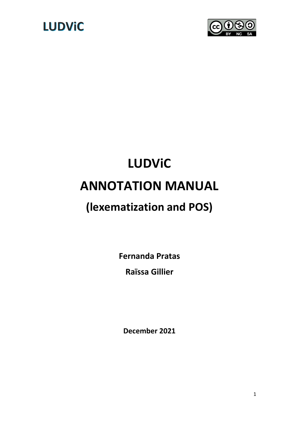



# **LUDViC ANNOTATION MANUAL**

### **(lexematization and POS)**

**Fernanda Pratas**

**Raïssa Gillier**

**December 2021**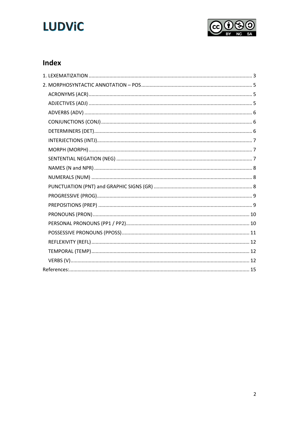# **LUDViC**



### Index

<span id="page-1-0"></span>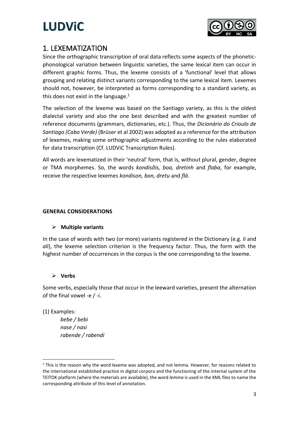

### 1. LEXEMATIZATION

Since the orthographic transcription of oral data reflects some aspects of the phoneticphonological variation between linguistic varieties, the same lexical item can occur in different graphic forms. Thus, the lexeme consists of a 'functional' level that allows grouping and relating distinct variants corresponding to the same lexical item. Lexemes should not, however, be interpreted as forms corresponding to a standard variety, as this does not exist in the language. $1$ 

The selection of the lexeme was based on the Santiago variety, as this is the oldest dialectal variety and also the one best described and with the greatest number of reference documents (grammars, dictionaries, etc.). Thus, the *Dicionário do Crioulo de Santiago (Cabo Verde)* (Brüser et al 2002) was adopted as a reference for the attribution of lexemes, making some orthographic adjustments according to the rules elaborated for data transcription (Cf. LUDViC Transcription Rules).

All words are lexematized in their 'neutral' form, that is, without plural, gender, degree or TMA morphemes. So, the words *kondisõis, boa, dretinh* and *flaba*, for example, receive the respective lexemes *kondison, bon, dretu* and *flá*.

### **GENERAL CONSIDERATIONS**

### ➢ **Multiple variants**

In the case of words with two (or more) variants registered in the Dictionary (e.g. *li* and *ali*), the lexeme selection criterion is the frequency factor. Thus, the form with the highest number of occurrences in the corpus is the one corresponding to the lexeme.

### ➢ **Verbs**

Some verbs, especially those that occur in the leeward varieties, present the alternation of the final vowel -e / -i.

(1) Examples:

*bebe / bebi nase / nasi rabende / rabendi*

 $1$  This is the reason why the word lexeme was adopted, and not lemma. However, for reasons related to the international established practice in digital corpora and the functioning of the internal system of the TEITOK platform (where the materials are available), the word *lemma* is used in the XML files to name the corresponding attribute of this level of annotation.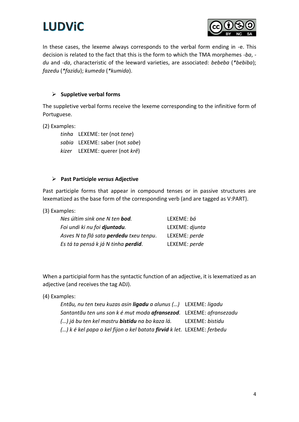



In these cases, the lexeme always corresponds to the verbal form ending in -e. This decision is related to the fact that this is the form to which the TMA morphemes *-ba*,  *du* and *-da*, characteristic of the leeward varieties, are associated: *bebeba* (*\*bebiba*); *fazedu* (*\*fazidu*); *kumeda* (*\*kumida*).

### ➢ **Suppletive verbal forms**

The suppletive verbal forms receive the lexeme corresponding to the infinitive form of Portuguese.

(2) Examples:

*tinha* LEXEME: ter (not *tene*) *sabia* LEXEME: saber (not *sabe*) *kizer* LEXEME: querer (not *krê*)

#### ➢ **Past Participle** *versus* **Adjective**

Past participle forms that appear in compound tenses or in passive structures are lexematized as the base form of the corresponding verb (and are tagged as V:PART).

(3) Examples:

| Nes últim sink one N ten <b>bod</b> .          | LEXEME: bá     |
|------------------------------------------------|----------------|
| Foi undi ki nu foi djuntadu.                   | LEXEME: djunta |
| Asves N ta flá sata <b>perdedu</b> txeu tenpu. | LEXEME: perde  |
| Es tá ta pensá k já N tinha <b>perdid</b> .    | LEXEME: perde  |

When a participial form has the syntactic function of an adjective, it is lexematized as an adjective (and receives the tag ADJ).

(4) Examples:

| Entãu, nu ten txeu kuzas asin <b>ligadu</b> a alunus () LEXEME: ligadu        |                 |
|-------------------------------------------------------------------------------|-----------------|
| Santantãu ten uns son k é mut moda <b>afransezod</b> . LEXEME: afransezadu    |                 |
| () já bu ten kel mastru <b>bistidu</b> na bo kaza lá.                         | LEXEME: bistidu |
| () k é kel papa o kel fijon o kel batata <b>firvid</b> k let. LEXEME: ferbedu |                 |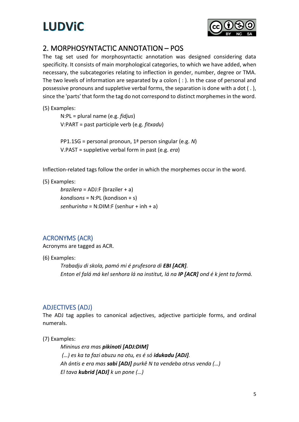

### <span id="page-4-0"></span>2. MORPHOSYNTACTIC ANNOTATION – POS

The tag set used for morphosyntactic annotation was designed considering data specificity. It consists of main morphological categories, to which we have added, when necessary, the subcategories relating to inflection in gender, number, degree or TMA. The two levels of information are separated by a colon ( : ). In the case of personal and possessive pronouns and suppletive verbal forms, the separation is done with a dot ( . ), since the 'parts' that form the tag do not correspond to distinct morphemes in the word.

(5) Examples:

N:PL = plural name (e.g. *fidjus*) V:PART = past participle verb (e.g. *fitxadu*)

PP1.1SG = personal pronoun, 1ª person singular (e.g. *N*) V.PAST = suppletive verbal form in past (e.g. *era*)

Inflection-related tags follow the order in which the morphemes occur in the word.

(5) Examples:

*brazilera* = ADJ:F (braziler + a) *kondisons* = N:PL (kondison + s) *senhurinha* = N:DIM:F (senhur + inh + a)

### <span id="page-4-1"></span>ACRONYMS (ACR)

Acronyms are tagged as ACR.

(6) Examples:

*Trabadju di skola, pamó mi é prufesora di EBI [ACR]. Enton el falá má kel senhora lá na institut, lá na IP [ACR] ond é k jent ta formá.*

### <span id="page-4-2"></span>ADJECTIVES (ADJ)

The ADJ tag applies to canonical adjectives, adjective participle forms, and ordinal numerals.

(7) Examples:

*Mininus era mas pikinoti [ADJ:DIM] (…) es ka ta fazi abuzu na otu, es é só idukadu [ADJ]. Ah ántis e era mas sabi [ADJ] purkê N ta vendeba otrus venda (…) El tava kubrid [ADJ] k un pone (…)*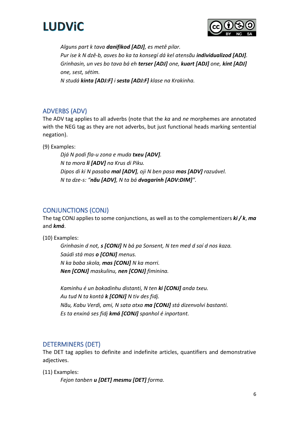



*Alguns part k tava danifikod [ADJ], es metê pilar. Pur ise k N dzê-b, asves bo ka ta konsegí dá kel atensãu individualizod [ADJ]. Grinhasin, un ves bo tava bá eh terser [ADJ] one, kuart [ADJ] one, kint [ADJ] one, sest, sétim.*

*N studá kinta [ADJ:F] i sesta [ADJ:F] klase na Krakinha.*

### <span id="page-5-0"></span>ADVERBS (ADV)

The ADV tag applies to all adverbs (note that the *ka* and *ne* morphemes are annotated with the NEG tag as they are not adverbs, but just functional heads marking sentential negation).

(9) Examples:

*Djá N podi fla-u zona e muda txeu [ADV]. N ta mora li [ADV] na Krus di Piku. Dipos di ki N pasaba mal [ADV], oji N ben pasa mas [ADV] razuável. N ta dze-s: "nãu [ADV], N ta bá dvagarinh [ADV:DIM]".*

### <span id="page-5-1"></span>CONJUNCTIONS (CONJ)

The tag CONJ applies to some conjunctions, as well as to the complementizers *ki / k*, *ma* and *kmá*.

(10) Examples:

*Grinhasin d not, s [CONJ] N bá pa Sonsent, N ten med d saí d nos kaza. Saúdi stá mas o [CONJ] menus. N ka baba skola, mas [CONJ] N ka morri. Nen [CONJ] maskulinu, nen [CONJ] fiminina.*

*Kaminhu é un bokadinhu distanti, N ten ki [CONJ] anda txeu. Au tud N ta kontá k [CONJ] N tiv des fidj. Nãu, Kabu Verdi, ami, N sata atxa ma [CONJ] stá dizenvolvi bastanti. Es ta enxiná ses fidj kmá [CONJ] spanhol é inportant.*

### <span id="page-5-2"></span>DETERMINERS (DET)

The DET tag applies to definite and indefinite articles, quantifiers and demonstrative adjectives.

(11) Examples:

*Fejon tanben u [DET] mesmu [DET] forma.*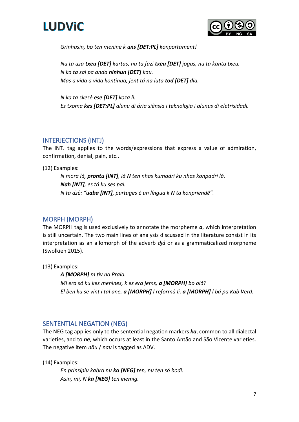



*Grinhasin, bo ten menine k uns [DET:PL] konportament!*

*Nu ta uza txeu [DET] kartas, nu ta fazi txeu [DET] jogus, nu ta kanta txeu. N ka ta sai pa anda ninhun [DET] kau. Mas a vida a vida kontinua, jent tá na luta tod [DET] dia.*

*N ka ta skesê ese [DET] koza li. Es txoma kes [DET:PL] alunu di ária siênsia i teknolojia i alunus di eletrisidadi.*

### <span id="page-6-0"></span>INTERJECTIONS (INTJ)

The INTJ tag applies to the words/expressions that express a value of admiration, confirmation, denial, pain, etc..

(12) Examples:

*N mora lá, prontu [INT], iá N ten nhas kumadri ku nhas konpadri lá. Nah [INT], es tá ku ses pai. N ta dzê: "uaba [INT], purtuges é un língua k N ta konpriendê".*

### <span id="page-6-1"></span>MORPH (MORPH)

The MORPH tag is used exclusively to annotate the morpheme *a*, which interpretation is still uncertain. The two main lines of analysis discussed in the literature consist in its interpretation as an allomorph of the adverb *djá* or as a grammaticalized morpheme (Swolkien 2015).

(13) Examples:

*A [MORPH] m tiv na Praia. Mi era só ku kes menines, k es era jems, a [MORPH] bo oiá? El ben ku se vint i tal ane, a [MORPH] l reformá li, a [MORPH] l bá pa Kab Verd.*

### <span id="page-6-2"></span>SENTENTIAL NEGATION (NEG)

The NEG tag applies only to the sentential negation markers *ka*, common to all dialectal varieties, and to *ne*, which occurs at least in the Santo Antão and São Vicente varieties. The negative item *nãu* / *nau* is tagged as ADV.

(14) Examples:

*En prinsípiu kabra nu ka [NEG] ten, nu ten só bodi. Asin, mi, N ka [NEG] ten inemig.*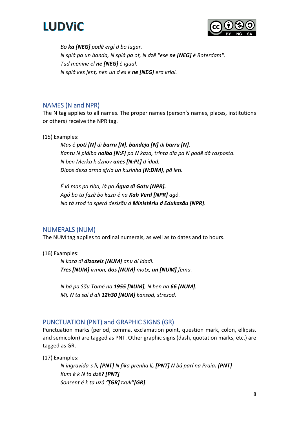



*Bo ka [NEG] podê ergí d bo lugar. N spiá pa un banda, N spiá pa ot, N dzê "ese ne [NEG] é Roterdam". Tud menine el ne [NEG] é igual. N spiá kes jent, nen un d es e ne [NEG] era kriol.*

### <span id="page-7-0"></span>NAMES (N and NPR)

The N tag applies to all names. The proper names (person's names, places, institutions or others) receive the NPR tag.

(15) Examples:

*Mas é poti [N] di barru [N], bandeja [N] di barru [N]. Kantu N pidiba noiba [N:F] pa N kaza, trinta dia pa N podê dá rasposta. N ben Merka k dznov anes [N:PL] d idad. Dipos dexa arma sfria un kuzinha [N:DIM], pô leti.*

*É lá mas pa riba, lá pa Água di Gatu [NPR]. Agó bo ta fazê bo kaza é na Kab Verd [NPR] agó. No tá stod ta sperá desizãu d Ministériu d Edukasãu [NPR].*

### <span id="page-7-1"></span>NUMERALS (NUM)

The NUM tag applies to ordinal numerals, as well as to dates and to hours.

(16) Examples:

*N kaza di dizaseis [NUM] anu di idadi. Tres [NUM] irmon, dos [NUM] motx, un [NUM] fema.*

*N bá pa Sãu Tomé na 1955 [NUM], N ben na 66 [NUM]. Mi, N ta saí d ali 12h30 [NUM] kansod, stresod.*

### <span id="page-7-2"></span>PUNCTUATION (PNT) and GRAPHIC SIGNS (GR)

Punctuation marks (period, comma, exclamation point, question mark, colon, ellipsis, and semicolon) are tagged as PNT. Other graphic signs (dash, quotation marks, etc.) are tagged as GR.

(17) Examples:

*N ingravida-s li, [PNT] N fika prenha li, [PNT] N bá parí na Praia. [PNT] Kum é k N ta dzê? [PNT] Sonsent é k ta uzá "[GR] txuk"[GR].*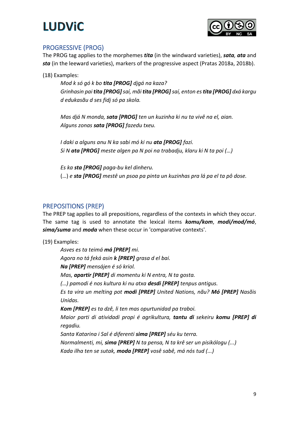

### <span id="page-8-0"></span>PROGRESSIVE (PROG)

The PROG tag applies to the morphemes *tita* (in the windward varieties), *sata, ata* and *sta* (in the leeward varieties), markers of the progressive aspect (Pratas 2018a, 2018b).

(18) Examples:

*Mod k só gó k bo tita [PROG] djgá na kaza? Grinhasin pai tita [PROG]saí, mãi tita [PROG]saí, enton es tita [PROG] dxá kargu d edukasãu d ses fidj só pa skola.*

*Mas djá N monda, sata [PROG] ten un kuzinha ki nu ta vivê na el, aian. Alguns zonas sata [PROG] fazedu txeu.*

*I daki a alguns anu N ka sabi mó ki nu ata [PROG] fazi. Si N ata [PROG] meste algen pa N poi na trabadju, klaru ki N ta poi (…)*

*Es ka sta [PROG] paga-bu kel dinheru.* (…) *e sta [PROG] mestê un psoa pa pinta un kuzinhas pra lá pa el ta pô dose.*

### <span id="page-8-1"></span>PREPOSITIONS (PREP)

The PREP tag applies to all prepositions, regardless of the contexts in which they occur. The same tag is used to annotate the lexical items *komu/kom*, *modi/mod/mó*, *sima/suma* and *moda* when these occur in 'comparative contexts'.

(19) Examples:

*Asves es ta teimá má [PREP] mi. Agora no tá feká asin k [PREP] grasa d el bai. Na [PREP] mensájen é só kriol. Mas, apartir [PREP] di momentu ki N entra, N ta gosta. (…) pamodi é nos kultura ki nu atxa desdi [PREP] tenpus antigus. Es ta vira un melting pot modi [PREP] United Nations, nãu? Mó [PREP] Nasõis Unidas. Kom [PREP] es ta dzê, li ten mas opurtunidad pa traboi. Maior parti di atividadi propi é agrikultura, tantu di sekeiru komu [PREP] di regadiu. Santa Katarina i Sal é diferenti sima [PREP] séu ku terra. Normalmenti, mi, sima [PREP] N ta pensa, N ta krê ser un pisikólogu (...)*

*Kada ilha ten se sutak, moda [PREP] vosê sabê, má nós tud (...)*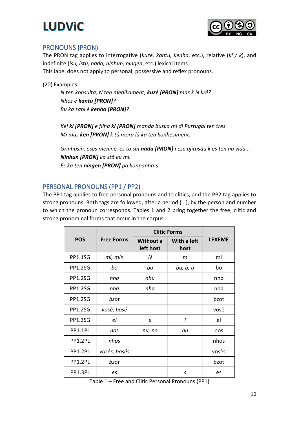

### <span id="page-9-0"></span>PRONOUNS (PRON)

The PRON tag applies to interrogative (*kuzé, kantu, kenha*, etc.), relative (*ki / k*), and indefinite (*isu, istu, nada, ninhun, ningen*, etc.) lexical items. This label does not apply to personal, possessive and reflex pronouns.

(20) Examples:

*N ten konsulta, N ten medikament, kuzé [PRON] mas k N krê? Nhos é kantu [PRON]? Bu ka sabi é kenha [PRON]?*

*Kel ki [PRON] é filha ki [PRON] manda buska mi di Purtugal ten tres. Mi mas ken [PRON] k tá morá lá ka ten konhesiment.*

*Grinhasin, eses menine, es ta sin nada [PRON] i ese ajitasãu k es ten na vida... Ninhun [PRON] ka stá ku mi. Es ka ten ningen [PRON] pa konpanha-s.*

### <span id="page-9-1"></span>PERSONAL PRONOUNS (PP1 / PP2)

The PP1 tag applies to free personal pronouns and to clitics, and the PP2 tag applies to strong pronouns. Both tags are followed, after a period ( . ), by the person and number to which the pronoun corresponds. Tables 1 and 2 bring together the free, clitic and strong pronominal forms that occur in the corpus.

|                |                   | <b>Clitic Forms</b>           |                     |               |
|----------------|-------------------|-------------------------------|---------------------|---------------|
| <b>POS</b>     | <b>Free Forms</b> | <b>Without a</b><br>left host | With a left<br>host | <b>LEXEME</b> |
| <b>PP1.1SG</b> | mi, min           | N                             | m                   | mi            |
| <b>PP1.2SG</b> | bo                | bu                            | bu, b, u            | bo            |
| <b>PP1.2SG</b> | nho               | nhu                           |                     | nho           |
| <b>PP1.2SG</b> | nha               | nha                           |                     | nha           |
| <b>PP1.2SG</b> | bzot              |                               |                     | bzot          |
| <b>PP1.2SG</b> | vosê, bosê        |                               |                     | vosê          |
| <b>PP1.3SG</b> | el                | e                             |                     | el            |
| PP1.1PL        | nos               | nu, no                        | nu                  | nos           |
| PP1.2PL        | nhos              |                               |                     | nhos          |
| PP1.2PL        | vosês, bosês      |                               |                     | vosês         |
| PP1.2PL        | bzot              |                               |                     | bzot          |
| PP1.3PL        | es                |                               | S                   | es            |

Table 1 – Free and Clitic Personal Pronouns (PP1)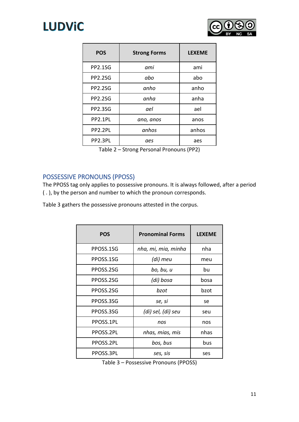



| <b>POS</b>     | <b>Strong Forms</b> | <b>LEXEME</b> |
|----------------|---------------------|---------------|
| <b>PP2.1SG</b> | ami                 | ami           |
| <b>PP2.2SG</b> | abo                 | abo           |
| <b>PP2.2SG</b> | anho                | anho          |
| <b>PP2.2SG</b> | anha                | anha          |
| <b>PP2.3SG</b> | ael                 | ael           |
| PP2.1PL        | ano, anos           | anos          |
| PP2.2PL        | anhos               | anhos         |
| PP2.3PL        | aes                 | aes           |

Table 2 – Strong Personal Pronouns (PP2)

### <span id="page-10-0"></span>POSSESSIVE PRONOUNS (PPOSS)

The PPOSS tag only applies to possessive pronouns. It is always followed, after a period ( . ), by the person and number to which the pronoun corresponds.

Table 3 gathers the possessive pronouns attested in the corpus.

| <b>POS</b> | <b>Pronominal Forms</b> | <b>LEXEME</b> |
|------------|-------------------------|---------------|
| PPOSS.1SG  | nha, mi, mia, minha     | nha           |
| PPOSS.1SG  | (di) meu                | meu           |
| PPOSS.2SG  | bo, bu, u               | bu            |
| PPOSS.2SG  | (di) bosa               | bosa          |
| PPOSS.2SG  | bzot                    | bzot          |
| PPOSS.3SG  | se, si                  | se            |
| PPOSS.3SG  | (di) sel, (di) seu      | seu           |
| PPOSS.1PL  | nos                     | nos           |
| PPOSS.2PL  | nhas, mias, mis         | nhas          |
| PPOSS.2PL  | bos, bus                | bus           |
| PPOSS.3PL  | ses, sis                | ses           |

Table 3 – Possessive Pronouns (PPOSS)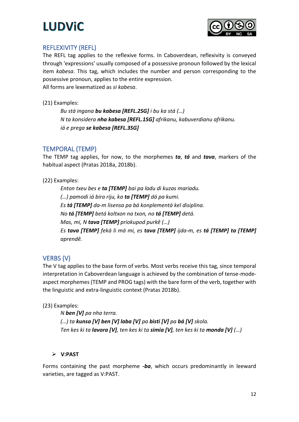



### <span id="page-11-0"></span>REFLEXIVITY (REFL)

The REFL tag applies to the reflexive forms. In Caboverdean, reflexivity is conveyed through 'expressions' usually composed of a possessive pronoun followed by the lexical item *kabesa*. This tag, which includes the number and person corresponding to the possessive pronoun, applies to the entire expression. All forms are lexematized as *si kabesa*.

(21) Examples:

*Bu stá ingana bu kabesa [REFL.2SG] i bu ka stá (…) N ta konsidera nha kabesa [REFL.1SG] afrikanu, kabuverdianu afrikanu. iá e prega se kabesa [REFL.3SG]*

### <span id="page-11-1"></span>TEMPORAL (TEMP)

The TEMP tag applies, for now, to the morphemes *ta*, *tá* and *tava*, markers of the habitual aspect (Pratas 2018a, 2018b).

### (22) Examples:

*Enton txeu bes e ta [TEMP] bai pa ladu di kuzas mariadu. (…) pamodi iá bira riju, ka ta [TEMP] dá pa kumi. Es tá [TEMP] da-m lisensa pa bá konplementá kel disiplina. No tá [TEMP] betá koltxon na txon, no tá [TEMP] detá. Mas, mi, N tava [TEMP] priokupod purkê (…) Es tava [TEMP] feká li má mi, es tava [TEMP] ijda-m, es tá [TEMP] ta [TEMP] aprendê.*

### <span id="page-11-2"></span>VERBS (V)

The V tag applies to the base form of verbs. Most verbs receive this tag, since temporal interpretation in Caboverdean language is achieved by the combination of tense-modeaspect morphemes (TEMP and PROG tags) with the bare form of the verb, together with the linguistic and extra-linguistic context (Pratas 2018b).

### (23) Examples:

*N ben [V] pa nha terra. (…) ta kunsa [V] ben [V] laba [V] pa bisti [V] pa bá [V] skola. Ten kes ki ta lavora [V], ten kes ki ta simia [V], ten kes ki ta monda [V] (…)*

### ➢ **V:PAST**

Forms containing the past morpheme *-ba*, which occurs predominantly in leeward varieties, are tagged as V:PAST.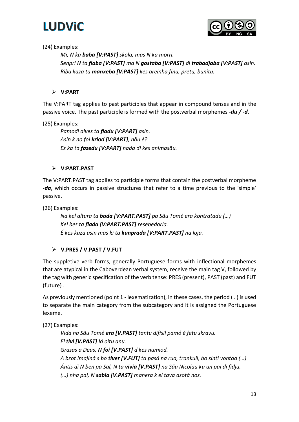



### (24) Examples:

*Mi, N ka baba [V:PAST] skola, mas N ka morri. Senpri N ta flaba [V:PAST] ma N gostaba [V:PAST] di trabadjaba [V:PAST] asin. Riba kaza ta manxeba [V:PAST] kes areinha finu, pretu, bunitu.*

### ➢ **V:PART**

The V:PART tag applies to past participles that appear in compound tenses and in the passive voice. The past participle is formed with the postverbal morphemes *-du / -d*.

(25) Examples:

*Pamodi alves ta fladu [V:PART] asin. Asin k no foi kriod [V:PART], nãu é? Es ka ta fazedu [V:PART] nada di kes animasãu.*

### ➢ **V:PART.PAST**

The V:PART.PAST tag applies to participle forms that contain the postverbal morpheme *-da*, which occurs in passive structures that refer to a time previous to the 'simple' passive.

(26) Examples:

*Na kel altura ta bada [V:PART.PAST] pa Sãu Tomé era kontratadu (…) Kel bes ta flada [V:PART.PAST] resebedoria. É kes kuza asin mas ki ta kunprada [V:PART.PAST] na loja.*

### ➢ **V.PRES / V.PAST / V.FUT**

The suppletive verb forms, generally Portuguese forms with inflectional morphemes that are atypical in the Caboverdean verbal system, receive the main tag V, followed by the tag with generic specification of the verb tense: PRES (present), PAST (past) and FUT (future) .

As previously mentioned (point 1 - lexematization), in these cases, the period ( . ) is used to separate the main category from the subcategory and it is assigned the Portuguese lexeme.

(27) Examples:

*Vida na Sãu Tomé era [V.PAST] tantu difísil pamó é fetu skravu. El tivi [V.PAST] lá oitu anu. Grasas a Deus, N foi [V.PAST] d kes numiod. A bzot imajiná s bo tiver [V.FUT] ta pasá na rua, trankuil, bo sintí vontad (…) Ántis di N ben pa Sal, N ta vivia [V.PAST] na Sãu Nicolau ku un pai di fidju. (…) nha pai, N sabia [V.PAST] manera k el tava asotá nos.*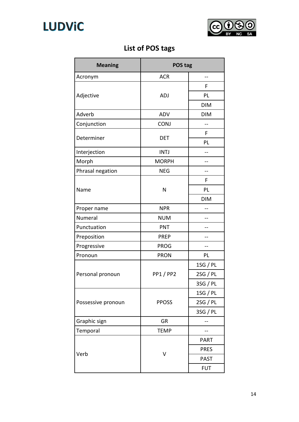



### **List of POS tags**

| <b>Meaning</b>     | POS tag        |             |
|--------------------|----------------|-------------|
| Acronym            | <b>ACR</b>     |             |
|                    |                | F           |
| Adjective          | <b>ADJ</b>     | PL          |
|                    |                | <b>DIM</b>  |
| Adverb             | ADV            | <b>DIM</b>  |
| Conjunction        | <b>CONJ</b>    |             |
| Determiner         |                | F           |
|                    | DET            | PL          |
| Interjection       | <b>INTJ</b>    |             |
| Morph              | <b>MORPH</b>   | --          |
| Phrasal negation   | <b>NEG</b>     |             |
|                    |                | F           |
| Name               | N              | PL          |
|                    |                | <b>DIM</b>  |
| Proper name        | <b>NPR</b>     |             |
| Numeral            | <b>NUM</b>     |             |
| Punctuation        | <b>PNT</b>     |             |
| Preposition        | <b>PREP</b>    |             |
| Progressive        | <b>PROG</b>    |             |
| Pronoun            | <b>PRON</b>    | PL          |
|                    | <b>PP1/PP2</b> | 1SG / PL    |
| Personal pronoun   |                | 2SG / PL    |
|                    |                | 3SG / PL    |
|                    | <b>PPOSS</b>   | 1SG / PL    |
| Possessive pronoun |                | 2SG / PL    |
|                    |                | 3SG / PL    |
| Graphic sign       | GR             |             |
| Temporal           | <b>TEMP</b>    |             |
|                    | v              | <b>PART</b> |
|                    |                | <b>PRES</b> |
| Verb               |                | <b>PAST</b> |
|                    |                | <b>FUT</b>  |